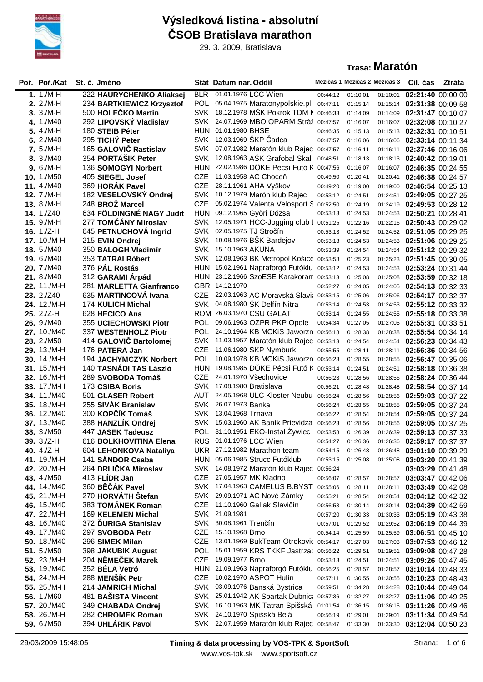

## **Výsledková listina - absolutní ČSOB Bratislava marathon**

29. 3. 2009, Bratislava

## **Trasa: Maratón**

| Poř. Poř./Kat               | St. č. Jméno                               |            | Stát Datum nar. Oddíl                                                          |                      | Mezičas 1 Mezičas 2 Mezičas 3 |          | Cíl. čas                                                 | Ztráta |
|-----------------------------|--------------------------------------------|------------|--------------------------------------------------------------------------------|----------------------|-------------------------------|----------|----------------------------------------------------------|--------|
| 1. $1./M-H$                 | 222 HAURYCHENKO Aliaksej                   |            | BLR 01.01.1976 LCC Wien                                                        | 00:44:12             | 01:10:01                      | 01:10:01 | 02:21:40 00:00:00                                        |        |
| $2.2/M-H$                   | 234 BARTKIEWICZ Krzysztof                  |            | POL 05.04.1975 Maratonypolskie.pl                                              | 00:47:11             | 01:15:14                      |          | 01:15:14 02:31:38 00:09:58                               |        |
| $3.3/M-H$                   | 500 HOLEČKO Martin                         |            | SVK 18.12.1978 MSK Pokrok TDM F 00:46:33                                       |                      | 01:14:09                      |          | 01:14:09 02:31:47 00:10:07                               |        |
| 4. 1./M40                   | 292 LIPOVSKÝ Vladislav                     |            | SVK 24.07.1969 MBO OPARM Stráž 00:47:57                                        |                      | 01:16:07                      |          | 01:16:07 02:32:08 00:10:27                               |        |
| 5. 4./M-H                   | 180 STEIB Péter                            |            | HUN 01.01.1980 BHSE                                                            | 00:46:35             | 01:15:13                      |          | 01:15:13 02:32:31 00:10:51                               |        |
| 6.2/M40                     | 295 TICHÝ Peter                            |            | SVK 12.03.1969 ŠKP Čadca                                                       | 00:47:57             | 01:16:06                      |          | 01:16:06 02:33:14 00:11:34                               |        |
| 7. 5./M-H                   | 165 GALOVIČ Rastislav                      |            | SVK 07.07.1982 Maratón klub Rajec 00:47:57                                     |                      | 01:16:11                      |          | 01:16:11 02:37:46 00:16:06                               |        |
| 8. 3./M40                   | 354 PORTÁŠIK Peter                         |            | SVK 12.08.1963 ASK Grafobal Skali 00:48:51                                     |                      | 01:18:13                      |          | 01:18:13 02:40:42 00:19:01                               |        |
| $9.6/M-H$                   | 136 SOMOGYI Norbert                        |            | HUN 22.02.1986 DÖKE Pécsi Futó K 00:47:56                                      |                      | 01:16:07                      | 01:16:07 | 02:46:35 00:24:55                                        |        |
| 10. 1./M50                  | 405 SIEGEL Josef                           | <b>CZE</b> | 11.03.1958 AC Choceň                                                           | 00:49:50             | 01:20:41                      | 01:20:41 | 02:46:38 00:24:57                                        |        |
| 11. 4./M40                  | 369 HORÁK Pavel                            | <b>CZE</b> | 28.11.1961 AHA Vyškov                                                          | 00:49:20             | 01:19:00                      |          | 01:19:00 02:46:54 00:25:13                               |        |
| 12. 7./M-H                  | 182 VESELOVSKÝ Ondrej                      |            | SVK 10.12.1979 Marón klub Rajec                                                | 00:53:12             | 01:24:51                      | 01:24:51 | 02:49:05 00:27:25                                        |        |
| 13. 8./M-H                  | 248 BROŽ Marcel                            |            | CZE 05.02.1974 Valenta Velosport S 00:52:50                                    |                      | 01:24:19                      |          | 01:24:19 02:49:53 00:28:12                               |        |
| <b>14.</b> 1./Z40           | 634 FÖLDINGNÉ NAGY Judit                   |            | HUN 09.12.1965 Győri Dózsa                                                     | 00:53:13             | 01:24:53                      |          | 01:24:53 02:50:21 00:28:41                               |        |
| 15. 9./M-H                  | 277 TOMČÁNY Miroslav                       |            | SVK 12.05.1971 HCC-Jogging club I 00:51:25                                     |                      | 01:22:16                      | 01:22:16 | 02:50:43 00:29:02                                        |        |
| 16. $1./Z-H$                | 645 PETNUCHOVÁ Ingrid                      |            | SVK 02.05.1975 TJ Stročín                                                      | 00:53:13             | 01:24:52                      |          | 01:24:52 02:51:05 00:29:25                               |        |
| 17. 10./M-H                 | 215 EVIN Ondrej                            |            | SVK 10.08.1976 BŠK Bardejov                                                    | 00:53:13             | 01:24:53                      | 01:24:53 | 02:51:06 00:29:25                                        |        |
| <b>18.</b> 5./M40           | 350 BALOGH Vladimír                        |            | SVK 15.10.1963 AKUNA                                                           | 00:53:39             | 01:24:54                      |          | 01:24:54 02:51:12 00:29:32                               |        |
| <b>19.</b> 6./M40           | 353 TATRAI Róbert                          |            | SVK 12.08.1963 BK Metropol Košice 00:53:58                                     |                      | 01:25:23                      |          | 01:25:23 02:51:45 00:30:05                               |        |
| <b>20.</b> 7./M40           | 376 PÁL Rostás                             |            | HUN 15.02.1961 Napraforgó Futóklu 00:53:12                                     |                      | 01:24:53                      |          | 01:24:53 02:53:24 00:31:44                               |        |
| 21. 8./M40                  | 312 GARAMI Árpád                           |            | HUN 23.12.1966 SzoESE Karakoram 00:53:13                                       |                      | 01:25:08                      |          | 01:25:08 02:53:59 00:32:18                               |        |
| 22. 11./M-H                 | 281 MARLETTA Gianfranco                    |            | GBR 14.12.1970                                                                 | 00:52:27             | 01:24:05                      |          | 01:24:05 02:54:13 00:32:33                               |        |
| <b>23.</b> 2./Z40           | 635 MARTINCOVÁ Ivana                       | <b>CZE</b> | 22.03.1963 AC Moravská Slavi $($ 00:53:15                                      |                      | 01:25:06                      | 01:25:06 | 02:54:17 00:32:37                                        |        |
| 24. 12./M-H                 | 174 KULICH Michal                          |            | SVK 04.08.1980 ŠK Delfín Nitra                                                 | 00:53:14             | 01:24:53                      |          | 01:24:53 02:55:12 00:33:32                               |        |
| $25.2/Z-H$                  | 628 HECICO Ana                             |            | ROM 26.03.1970 CSU GALATI                                                      | 00:53:14             | 01:24:55                      | 01:24:55 | 02:55:18 00:33:38                                        |        |
| 26. 9./M40                  | 355 UCIECHOWSKI Piotr                      |            | POL 09.06.1963 OZPR PKP Opole                                                  | 00:54:34             | 01:27:05                      | 01:27:05 | 02:55:31 00:33:51                                        |        |
| 27. 10./M40                 | 337 WESTENHOLZ Piotr                       |            | POL 24.10.1964 KB MCKiS Jaworzn 00:56:18                                       |                      | 01:28:38                      | 01:28:38 | 02:55:54 00:34:14                                        |        |
| 28. 2./M50                  | 414 GALOVIČ Bartolomej                     |            | SVK 11.03.1957 Maratón klub Rajec 00:53:13                                     |                      | 01:24:54                      | 01:24:54 | 02:56:23 00:34:43                                        |        |
| 29. 13./M-H                 | 176 PATERA Jan                             |            | CZE 11.06.1980 SKP Nymburk                                                     | 00:55:55             | 01:28:11                      | 01:28:11 | 02:56:36 00:34:56                                        |        |
| 30. 14./M-H                 | 194 JACHYMCZYK Norbert                     |            | POL 10.09.1978 KB MCKiS Jaworzn 00:56:23                                       |                      | 01:28:55                      |          | 01:28:55 02:56:47 00:35:06                               |        |
| 31. 15./M-H                 | 140 TASNADI TAS László                     |            | HUN 19.08.1985 DÖKE Pécsi Futó K 00:53:14                                      |                      | 01:24:51                      | 01:24:51 | 02:58:18 00:36:38                                        |        |
| 32. 16./M-H                 | 289 SVOBODA Tomáš                          | <b>CZE</b> | 24.01.1970 Všechovice                                                          | 00:56:23             | 01:28:56                      | 01:28:56 | 02:58:24 00:36:44                                        |        |
| 33. 17./M-H                 | 173 CSIBA Boris                            |            | SVK 17.08.1980 Bratislava                                                      | 00:56:21             | 01:28:48                      | 01:28:48 | 02:58:54 00:37:14                                        |        |
| 34. 11./M40                 | 501 GLASER Robert                          | AUT        | 24.05.1968 ULC Kloster Neubu 00:56:24                                          |                      | 01:28:56                      | 01:28:56 | 02:59:03 00:37:22                                        |        |
| 35. 18./M-H                 | 255 SIVAK Branislav                        |            | SVK 26.07.1973 Banka                                                           | 00:56:24             | 01:28:55                      | 01:28:55 | 02:59:05 00:37:24                                        |        |
| 36. 12./M40                 | 300 KOPČÍK Tomáš                           |            | SVK 13.04.1968 Trnava                                                          | 00:56:22             | 01:28:54                      | 01:28:54 | 02:59:05 00:37:24                                        |        |
| 37. 13./M40<br>38. 3./M50   | 388 HANZLÍK Ondrej                         |            | SVK 15.03.1960 AK Baník Prievidza 00:56:23<br>POL 31.10.1951 EKO-Instal Żywiec |                      | 01:28:56                      | 01:28:56 | 02:59:05 00:37:25                                        |        |
|                             | 447 JASEK Tadeusz                          |            | RUS 01.01.1976 LCC Wien                                                        | 00:53:58             | 01:26:39                      |          | 01:26:39 02:59:13 00:37:33                               |        |
| 39. 3./Z-H                  | 616 BOLKHOVITINA Elena                     |            | UKR 27.12.1982 Marathon team                                                   | 00:54:27             | 01:26:36                      |          | 01:26:36 02:59:17 00:37:37                               |        |
| 40. $4./Z-H$<br>41. 19./M-H | 604 LEHONKOVA Nataliya<br>141 SANDOR Csaba |            | HUN 05.06.1985 Strucc Futóklub                                                 | 00:54:15<br>00:53:15 | 01:26:48<br>01:25:08          |          | 01:26:48 03:01:10 00:39:29<br>01:25:08 03:03:20 00:41:39 |        |
| 42. 20./M-H                 | 264 DRLIČKA Miroslav                       |            | SVK 14.08.1972 Maratón klub Rajec 00:56:24                                     |                      |                               |          | 03:03:29 00:41:48                                        |        |
| <b>43.</b> 4./M50           | 413 FLÍDR Jan                              |            | CZE 27.05.1957 MK Kladno                                                       | 00:56:07             | 01:28:57                      |          | 01:28:57 03:03:47 00:42:06                               |        |
| 44. 14./M40                 | 360 BĚČÁK Pavel                            |            | SVK 17.04.1963 CAMELUS B.BYST 00:55:06                                         |                      | 01:28:11                      | 01:28:11 | 03:03:49 00:42:08                                        |        |
| 45. 21./M-H                 | 270 HORVÁTH Štefan                         |            | SVK 29.09.1971 AC Nové Zámky                                                   | 00:55:21             | 01:28:54                      |          | 01:28:54 03:04:12 00:42:32                               |        |
| 46. 15./M40                 | 383 TOMÁNEK Roman                          |            | CZE 11.10.1960 Gallak Slavičín                                                 | 00:56:53             | 01:30:14                      |          | 01:30:14 03:04:39 00:42:59                               |        |
| 47. 22./M-H                 | 169 KELEMEN Michal                         |            | SVK 21.09.1981                                                                 | 00:57:20             | 01:30:33                      |          | 01:30:33 03:05:19 00:43:38                               |        |
| 48. 16./M40                 | 372 DURIGA Stanislav                       |            | SVK 30.08.1961 Trenčín                                                         | 00:57:01             | 01:29:52                      |          | 01:29:52 03:06:19 00:44:39                               |        |
| 49. 17./M40                 | 297 SVOBODA Petr                           |            | CZE 15.10.1968 Brno                                                            | 00:54:14             | 01:25:59                      |          | 01:25:59 03:06:51 00:45:10                               |        |
| <b>50.</b> 18./M40          | 296 SIMEK Milan                            |            | CZE 13.01.1969 BukTeam Otrokovic 00:54:17                                      |                      | 01:27:03                      |          | 01:27:03 03:07:53 00:46:12                               |        |
| <b>51.</b> 5./M50           | 398 JAKUBIK August                         |            | POL 15.01.1959 KRS TKKF Jastrzał 00:56:22                                      |                      | 01:29:51                      |          | 01:29:51 03:09:08 00:47:28                               |        |
| 52. 23./M-H                 | 204 NĚMEČEK Marek                          |            | CZE 19.09.1977 Brno                                                            | 00:53:13             | 01:24:51                      |          | 01:24:51 03:09:26 00:47:45                               |        |
| <b>53.</b> 19./M40          | 352 BÉLA Vetró                             |            | HUN 21.09.1963 Napraforgó Futóklu 00:56:25                                     |                      | 01:28:57                      |          | 01:28:57 03:10:14 00:48:33                               |        |
| 54. 24./M-H                 | 288 MENŠÍK Petr                            |            | CZE 10.02.1970 ASPOT Hulín                                                     | 00:57:11             | 01:30:55                      |          | 01:30:55 03:10:23 00:48:43                               |        |
| 55. 25./M-H                 | 214 JAMRICH Michal                         |            | SVK 03.09.1976 Banská Bystrica                                                 | 00:59:51             | 01:34:28                      |          | 01:34:28 03:10:44 00:49:04                               |        |
| 56. 1./M60                  | 481 BAŠISTA Vincent                        |            | SVK 25.01.1942 AK Spartak Dubnic: 00:57:36                                     |                      | 01:32:27                      |          | 01:32:27 03:11:06 00:49:25                               |        |
| 57. 20./M40                 | 349 CHABADA Ondrej                         |            | SVK 16.10.1963 MK Tatran Spišská 01:01:54                                      |                      | 01:36:15                      |          | 01:36:15 03:11:26 00:49:46                               |        |
| 58. 26./M-H                 | 282 CHROMEK Roman                          |            | SVK 24.10.1970 Spišská Belá                                                    | 00:56:19             | 01:29:01                      | 01:29:01 | 03:11:34 00:49:54                                        |        |
| 59. 6./M50                  | 394 UHLÁRIK Pavol                          |            | SVK 22.07.1959 Maratón klub Rajec 00:58:47                                     |                      | 01:33:30                      | 01:33:30 | 03:12:04 00:50:23                                        |        |
|                             |                                            |            |                                                                                |                      |                               |          |                                                          |        |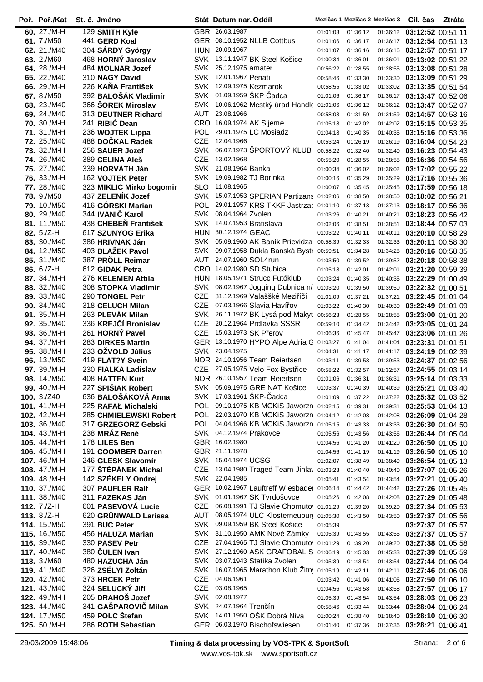| Poř. Poř./Kat       | St. č. Jméno             |            | Stát Datum nar. Oddíl                       |          | Mezičas 1 Mezičas 2 Mezičas 3 |          | Cíl. čas                   | Ztráta |
|---------------------|--------------------------|------------|---------------------------------------------|----------|-------------------------------|----------|----------------------------|--------|
| 60. $27/M-H$        | 129 SMITH Kyle           |            | GBR 26.03.1987                              | 01:01:03 | 01:36:12                      |          | 01:36:12 03:12:52 00:51:11 |        |
| 61. 7./M50          | 441 GERD Koal            |            | GER 08.10.1952 NLLB Cottbus                 | 01:01:06 | 01:36:17                      |          | 01:36:17 03:12:54 00:51:13 |        |
| 62. 21./M40         | 304 SÁRDY György         | HUN.       | 20.09.1967                                  | 01:01:07 | 01:36:16                      |          | 01:36:16 03:12:57 00:51:17 |        |
| 63. 2./M60          | 468 HORNÝ Jaroslav       | SVK        | 13.11.1947 BK Steel Košice                  | 01:00:34 | 01:36:01                      | 01:36:01 | 03:13:02 00:51:22          |        |
| 64. 28./M-H         | 484 MOLNAR Jozef         |            | SVK 25.12.1975 amater                       | 00:56:22 | 01:28:55                      |          | 01:28:55 03:13:08 00:51:28 |        |
| 65, 22./M40         | 310 NAGY David           |            | SVK 12.01.1967 Penati                       | 00:58:46 | 01:33:30                      |          | 01:33:30 03:13:09 00:51:29 |        |
| 66. 29./M-H         | 226 KAŇA František       |            | SVK 12.09.1975 Kezmarok                     | 00:58:55 | 01:33:02                      |          | 01:33:02 03:13:35 00:51:54 |        |
| 67. 8./M50          | 392 BALOŠÁK Vladimír     | <b>SVK</b> | 01.09.1959 ŠKP Čadca                        | 01:01:06 | 01:36:17                      |          | 01:36:17 03:13:47 00:52:06 |        |
| 68. 23./M40         | 366 ŠOREK Miroslav       | SVK        | 10.06.1962 Mestký úrad Handlc 01:01:06      |          | 01:36:12                      |          | 01:36:12 03:13:47 00:52:07 |        |
| 69. 24./M40         | 313 DEUTNER Richard      | AUT        | 23.08.1966                                  | 00:58:03 | 01:31:59                      |          | 01:31:59 03:14:57 00:53:16 |        |
| 70. 30./M-H         | 241 RIBIĆ Dean           |            | CRO 16.09.1974 AK Sljeme                    | 01:05:18 | 01:42:02                      |          | 01:42:02 03:15:15 00:53:35 |        |
| 71. 31./M-H         | 236 WOJTEK Lippa         | POL.       | 29.01.1975 LC Mosiadz                       | 01:04:18 | 01:40:35                      |          | 01:40:35 03:15:16 00:53:36 |        |
| <b>72.</b> 25./M40  | 488 DOČKAL Radek         | <b>CZE</b> | 12.04.1966                                  | 00:53:24 | 01:26:19                      | 01:26:19 | 03:16:04 00:54:23          |        |
| 73. 32./M-H         | 256 SAUER Jozef          | <b>SVK</b> | 06.07.1973 ŠPORTOVÝ KLUB                    | 00:58:22 | 01:32:40                      | 01:32:40 | 03:16:23 00:54:43          |        |
| <b>74. 26./M40</b>  | 389 CELINA Aleš          | <b>CZE</b> | 13.02.1968                                  | 00:55:20 | 01:28:55                      | 01:28:55 | 03:16:36 00:54:56          |        |
| 75. 27./M40         | 339 HORVATH Ján          | SVK        | 21.08.1964 Banka                            | 01:00:34 | 01:36:02                      |          | 01:36:02 03:17:02 00:55:22 |        |
| 76. 33./M-H         | 162 VOJTEK Peter         | <b>SVK</b> | 19.09.1982 TJ Borinka                       | 01:00:16 | 01:35:29                      | 01:35:29 | 03:17:16 00:55:36          |        |
| 77. 28./M40         | 323 MIKLIC Mirko bogomir | <b>SLO</b> | 11.08.1965                                  | 01:00:07 | 01:35:45                      |          | 01:35:45 03:17:59 00:56:18 |        |
| <b>78.</b> 9./M50   | 437 ZELENÍK Jozef        | <b>SVK</b> | 15.07.1953 SPERIAN Partizans 01:02:06       |          | 01:38:50                      |          | 01:38:50 03:18:02 00:56:21 |        |
| <b>79.</b> 10./M50  | 416 GÓRSKI Marian        | POL        | 29.01.1957 KRS TKKF Jastrzał 01:01:10       |          | 01:37:13                      |          | 01:37:13 03:18:17 00:56:36 |        |
| 80, 29./M40         | 344 IVANIČ Karol         | SVK        | 08.04.1964 Zvolen                           | 01:03:26 | 01:40:21                      | 01:40:21 | 03:18:23 00:56:42          |        |
| 81. 11./M50         | 438 CHEBEŇ František     |            | SVK 14.07.1953 Bratislava                   | 01:02:06 | 01:38:51                      |          | 01:38:51 03:18:44 00:57:03 |        |
| 82. 5./Z-H          | 617 SZUNYOG Erika        |            | HUN 30.12.1974 GEAC                         | 01:03:22 | 01:40:11                      |          | 01:40:11 03:20:10 00:58:29 |        |
| 83. 30./M40         | 386 HRIVNAK Ján          | SVK        | 05.09.1960 AK Baník Prievidza               | 00:58:39 | 01:32:33                      |          | 01:32:33 03:20:11 00:58:30 |        |
| 84. 12./M50         | 403 BLAŽEK Pavol         | SVK        | 09.07.1958 Dukla Banská Bystr 00:59:51      |          | 01:34:28                      |          | 01:34:28 03:20:16 00:58:35 |        |
| 85. 31./M40         | 387 PRÖLL Reimar         | AUT        | 24.07.1960 SOL4run                          | 01:03:50 | 01:39:52                      |          | 01:39:52 03:20:18 00:58:38 |        |
| 86. 6./Z-H          | 612 GIDAK Petra          |            | CRO 14.02.1980 SD Stubica                   | 01:05:18 | 01:42:01                      |          | 01:42:01 03:21:20 00:59:39 |        |
| 87. 34./M-H         | 276 KELEMEN Attila       | <b>HUN</b> | 18.05.1971 Strucc Futóklub                  | 01:03:24 | 01:40:35                      |          | 01:40:35 03:22:29 01:00:49 |        |
| 88, 32./M40         | 308 STOPKA Vladimír      | SVK        | 08.02.1967 Jogging Dubnica n/               | 01:03:20 | 01:39:50                      |          | 01:39:50 03:22:32 01:00:51 |        |
| 89. 33./M40         | 290 TONGEL Petr          | CZE        | 31.12.1969 Valaššké Meziříčí                | 01:01:09 | 01:37:21                      | 01:37:21 | 03:22:45 01:01:04          |        |
| 90. 34./M40         | 318 CELUCH Milan         | <b>CZE</b> | 07.03.1966 Slavia Havířov                   | 01:03:22 | 01:40:30                      | 01:40:30 | 03:22:49 01:01:09          |        |
| 91. 35./M-H         | 263 PLEVÁK Milan         | SVK.       | 26.11.1972 BK Lysá pod Makyt                | 00:56:23 | 01:28:55                      | 01:28:55 | 03:23:00 01:01:20          |        |
| 92. 35./M40         | 336 KREJČÍ Bronislav     | <b>CZE</b> | 20.12.1964 Prdlavka SSSR                    | 00:59:10 | 01:34:42                      |          | 01:34:42 03:23:05 01:01:24 |        |
| 93. 36./M-H         | 261 HORNÝ Pavel          | <b>CZE</b> | 15.03.1973 SK Přerov                        | 01:06:36 | 01:45:47                      |          | 01:45:47 03:23:06 01:01:26 |        |
| 94. 37./M-H         | 283 DIRKES Martin        |            | GER 13.10.1970 HYPO Alpe Adria G 01:03:27   |          | 01:41:04                      | 01:41:04 | 03:23:31 01:01:51          |        |
| 95. 38./M-H         | 233 OŽVOLD Július        | SVK        | 23.04.1975                                  | 01:04:31 | 01:41:17                      | 01:41:17 | 03:24:19 01:02:39          |        |
| 96. 13./M50         | 419 FLAT?Y Svein         |            | NOR 24.10.1956 Team Reiertsen               | 01:03:11 | 01:39:53                      | 01:39:53 | 03:24:37 01:02:56          |        |
| 97. 39./M-H         | 230 FIALKA Ladislav      |            | CZE 27.05.1975 Velo Fox Bystřice            | 00:58:22 | 01:32:57                      |          | 01:32:57 03:24:55 01:03:14 |        |
| <b>98.</b> 14./M50  | 408 HATTEN Kurt          |            | NOR 26.10.1957 Team Reiertsen               | 01:01:06 | 01:36:31                      |          | 01:36:31 03:25:14 01:03:33 |        |
| 99. 40./M-H         | 227 SPIŠIAK Robert       |            | SVK 05.09.1975 GRE NAT Košice               | 01:03:37 | 01:40:39                      |          | 01:40:39 03:25:21 01:03:40 |        |
| 100. $3./Z40$       | 636 BALOŠÁKOVÁ Anna      |            | SVK 17.03.1961 ŠKP-Čadca                    | 01:01:09 | 01:37:22                      |          | 01:37:22 03:25:32 01:03:52 |        |
| 101. 41./M-H        | 225 RAFAŁ Michalski      |            | POL 09.10.1975 KB MCKiS Jaworzn 01:02:15    |          | 01:39:31                      |          | 01:39:31 03:25:53 01:04:13 |        |
| 102. 42./M-H        | 285 CHMIELEWSKI Robert   |            | POL 22.03.1970 KB MCKiS Jaworzn 01:04:12    |          | 01:42:08                      |          | 01:42:08 03:26:09 01:04:28 |        |
| 103. 36./M40        | 317 GRZEGORZ Gebski      |            | POL 04.04.1966 KB MCKIS Jaworzn 01:05:15    |          | 01:43:33                      |          | 01:43:33 03:26:30 01:04:50 |        |
| 104, $43./M$ -H     | 238 MRÁZ René            |            | SVK 04.12.1974 Prakovce                     | 01:05:56 | 01:43:56                      |          | 01:43:56 03:26:44 01:05:04 |        |
| 105. $44./M$ -H     | 178 LILES Ben            |            | GBR 16.02.1980                              | 01:04:56 | 01:41:20                      |          | 01:41:20 03:26:50 01:05:10 |        |
| 106, $45./M$ -H     | 191 COOMBER Darren       |            | GBR 21.11.1978                              | 01:04:56 | 01:41:19                      |          | 01:41:19 03:26:50 01:05:10 |        |
| 107. 46./M-H        | 246 GLESK Slavomír       |            | SVK 15.04.1974 UCSG                         | 01:02:07 | 01:38:49                      |          | 01:38:49 03:26:54 01:05:13 |        |
| 108. 47./M-H        | 177 ŠTĚPÁNEK Michal      |            | CZE 13.04.1980 Traged Team Jihla\ 01:03:23  |          | 01:40:40                      |          | 01:40:40 03:27:07 01:05:26 |        |
| 109. 48./M-H        | 142 SZÉKELY Ondrej       |            | SVK 22.04.1985                              | 01:05:41 | 01:43:54                      |          | 01:43:54 03:27:21 01:05:40 |        |
| 110. 37./M40        | 307 PAUFLER Ralf         |            | GER 10.02.1967 Lauftreff Wiesbader 01:06:14 |          | 01:44:42                      |          | 01:44:42 03:27:26 01:05:45 |        |
| 111. 38./M40        | 311 FAZEKAS Ján          |            | SVK 01.01.1967 SK Tvrdošovce                | 01:05:26 | 01:42:08                      |          | 01:42:08 03:27:29 01:05:48 |        |
| 112. $7./Z-H$       | 601 PASEVOVA Lucie       |            | CZE 06.08.1991 TJ Slavie Chomutov 01:01:29  |          | 01:39:20                      |          | 01:39:20 03:27:34 01:05:53 |        |
| <b>113.</b> 8./Z-H  | 620 GRÜNWALD Larissa     | AUT        | 08.05.1974 ULC Klosterneubur( 01:05:30      |          | 01:43:50                      |          | 01:43:50 03:27:37 01:05:56 |        |
| <b>114, 15./M50</b> | 391 BUC Peter            | <b>SVK</b> | 09.09.1959 BK Steel Košice                  | 01:05:39 |                               |          | 03:27:37 01:05:57          |        |
| 115. 16./M50        | 456 HALUZA Marian        | SVK        | 31.10.1950 AMK Nové Zámky                   | 01:05:39 | 01:43:55                      |          | 01:43:55 03:27:37 01:05:57 |        |
| 116. 39./M40        | 330 PASEV Petr           |            | CZE 27.04.1965 TJ Slavie Chomuto 01:01:29   |          | 01:39:20                      |          | 01:39:20 03:27:38 01:05:58 |        |
| 117. 40./M40        | 380 ČULEN Ivan           |            | SVK 27.12.1960 ASK GRAFOBAL S 01:06:19      |          | 01:45:33                      |          | 01:45:33 03:27:39 01:05:59 |        |
| <b>118.</b> 3./M60  | 480 HAZUCHA Ján          |            | SVK 03.07.1943 Statika Zvolen               | 01:05:39 | 01:43:54                      |          | 01:43:54 03:27:44 01:06:04 |        |
| 119. 41./M40        | 326 ZSELYI Zoltán        |            | SVK 16.07.1965 Marathon Klub Zitn 01:05:19  |          | 01:42:11                      |          | 01:42:11 03:27:46 01:06:06 |        |
| 120. 42./M40        | 373 HRCEK Petr           |            | CZE 04.06.1961                              | 01:03:42 | 01:41:06                      |          | 01:41:06 03:27:50 01:06:10 |        |
| <b>121.</b> 43./M40 | 324 SELUCKÝ Jiří         |            | CZE 03.08.1965                              | 01:04:56 | 01:43:58                      |          | 01:43:58 03:27:57 01:06:17 |        |
| 122, 49./M-H        | 205 DRAHOŠ Jozef         |            | SVK 02.08.1977                              | 01:05:39 | 01:43:54                      |          | 01:43:54 03:28:03 01:06:23 |        |
| 123. 44./M40        | 341 GAŠPAROVIČ Milan     |            | SVK 24.07.1964 Trenčín                      | 00:58:46 | 01:33:44                      |          | 01:33:44 03:28:04 01:06:24 |        |
| 124. 17./M50        | 459 POLC Stefan          |            | SVK 14.01.1950 OŠK Dobrá Niva               | 01:00:24 | 01:38:40                      |          | 01:38:40 03:28:10 01:06:30 |        |
| 125. 50./M-H        | 286 ROTH Sebastian       |            | GER 06.03.1970 Bischofswiesen               | 01:01:40 | 01:37:36                      |          | 01:37:36 03:28:21 01:06:41 |        |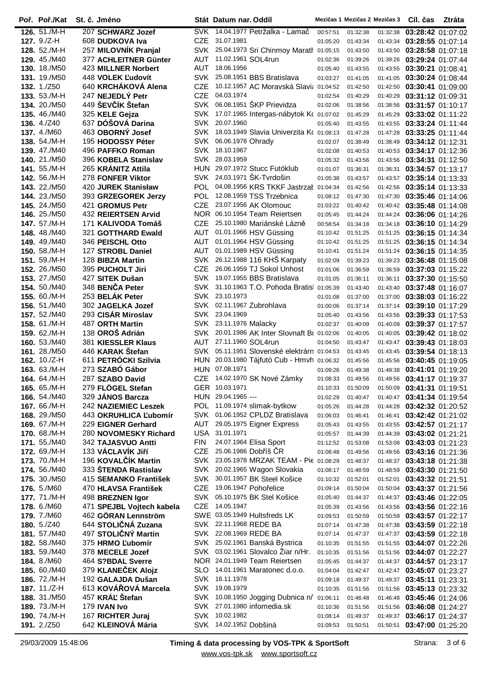| Poř. Poř./Kat       | St. č. Jméno               |            | Stát Datum nar. Oddíl  |                                              |          | Mezičas 1 Mezičas 2 Mezičas 3 |          | Cíl. čas                   | Ztráta |
|---------------------|----------------------------|------------|------------------------|----------------------------------------------|----------|-------------------------------|----------|----------------------------|--------|
| 126. 51./M-H        | 207 SCHWARZ Jozef          | <b>SVK</b> |                        | 14.04.1977 Petržalka - Lamač                 | 00:57:51 | 01:32:38                      | 01:32:38 | 03:28:42 01:07:02          |        |
| 127. 9./Z-H         | 608 DUDKOVA Iva            | <b>CZE</b> | 31.07.1981             |                                              | 01:05:20 | 01:43:34                      | 01:43:34 | 03:28:55 01:07:14          |        |
| 128. 52./M-H        | 257 MILOVNÍK Pranjal       | SVK        |                        | 25.04.1973 Sri Chinmoy Marath 01:05:15       |          | 01:43:50                      | 01:43:50 | 03:28:58 01:07:18          |        |
| 129. 45./M40        | 377 ACHLEITNER Günter      | AUT        | 11.02.1961 SOL4run     |                                              | 01:02:36 | 01:39:26                      | 01:39:26 | 03:29:24 01:07:44          |        |
| 130. 18./M50        | 423 MILLNER Norbert        | <b>AUT</b> | 18.06.1956             |                                              | 01:05:40 | 01:43:55                      | 01:43:55 | 03:30:21 01:08:41          |        |
| 131. 19./M50        | 448 VOLEK L'udovít         | SVK        |                        | 25.08.1951 BBS Bratislava                    | 01:03:27 | 01:41:05                      | 01:41:05 | 03:30:24 01:08:44          |        |
| <b>132.</b> 1./Z50  | 640 KRCHÁKOVÁ Alena        | <b>CZE</b> |                        | 10.12.1957 AC Moravská Slavi: 01:04:52       |          | 01:42:50                      | 01:42:50 | 03:30:41 01:09:00          |        |
| 133. 53./M-H        | 247 NEJEDLÝ Petr           | <b>CZE</b> | 04.03.1974             |                                              | 01:02:54 | 01:40:29                      | 01:40:29 | 03:31:12 01:09:31          |        |
| 134. 20./M50        | 449 ŠEVČÍK Štefan          |            |                        | SVK 06.08.1951 ŠKP Prievidza                 | 01:02:06 | 01:38:56                      | 01:38:56 | 03:31:57 01:10:17          |        |
| 135. 46./M40        | 325 KELE Gejza             | <b>SVK</b> |                        | 17.07.1965 Intergas-nábytok Ko 01:07:02      |          | 01:45:29                      | 01:45:29 | 03:33:02 01:11:22          |        |
| <b>136.</b> 4./Z40  | 637 DÓŠOVÁ Darina          | <b>SVK</b> | 20.07.1960             |                                              | 01:05:40 | 01:43:55                      | 01:43:55 | 03:33:24 01:11:44          |        |
| 137. 4./M60         | 463 OBORNÝ Josef           |            |                        | SVK 18.03.1949 Slavia Univerzita Ko 01:08:13 |          | 01:47:28                      | 01:47:28 | 03:33:25 01:11:44          |        |
| 138. 54./M-H        | 195 HODOSSY Péter          | SVK        | 06.06.1978 Ohrady      |                                              | 01:02:07 | 01:38:49                      | 01:38:49 | 03:34:12 01:12:31          |        |
| 139. 47./M40        | 496 PAFFKO Roman           |            | SVK 18.10.1967         |                                              | 01:02:08 | 01:40:53                      | 01:40:53 | 03:34:17 01:12:36          |        |
| 140. 21./M50        | 396 KOBELA Stanislav       | SVK        | 28.03.1959             |                                              | 01:05:32 | 01:43:56                      | 01:43:56 | 03:34:31 01:12:50          |        |
| 141. 55./M-H        | 265 KRANITZ Attila         |            |                        | HUN 29.07.1972 Stucc Futóklub                | 01:01:07 | 01:36:31                      | 01:36:31 | 03:34:57 01:13:17          |        |
| 142. 56./M-H        | 278 FONFER Viktor          | <b>SVK</b> |                        | 24.03.1971 ŠK-Tvrdošin                       | 01:05:38 | 01:43:57                      | 01:43:57 | 03:35:14 01:13:33          |        |
| 143. 22./M50        | 420 JUREK Stanisław        | <b>POL</b> |                        | 04.08.1956 KRS TKKF Jastrzał                 | 01:04:34 | 01:42:56                      | 01:42:56 | 03:35:14 01:13:33          |        |
| 144. 23./M50        | 393 GRZEGOREK Jerzy        | POL        |                        | 12.08.1959 TSS Trzebnica                     | 01:08:12 | 01:47:30                      | 01:47:30 | 03:35:46 01:14:06          |        |
| 145. 24./M50        | 421 GROMUS Petr            | <b>CZE</b> |                        | 23.07.1956 AK Olomouc                        | 01:03:22 | 01:40:42                      |          | 01:40:42 03:35:48 01:14:08 |        |
| <b>146.</b> 25./M50 | <b>432 REIERTSEN Arvid</b> |            |                        | NOR 06.10.1954 Team Reiertsen                | 01:05:45 | 01:44:24                      | 01:44:24 | 03:36:06 01:14:26          |        |
| 147. 57./M-H        | 171 KALIVODA Tomáš         | CZE.       |                        | 25.10.1980 Mariánské Lázně                   | 00:58:54 | 01:34:18                      | 01:34:18 | 03:36:10 01:14:29          |        |
| 148.48./M40         | 321 GOTTHARD Ewald         | AUT        |                        | 01.01.1966 HSV Güssing                       | 01:10:42 | 01:51:25                      | 01:51:25 | 03:36:15 01:14:34          |        |
| 149, 49./M40        | 346 PEISCHL Otto           | AUT        |                        | 01.01.1964 HSV Güssing                       | 01:10:42 | 01:51:25                      | 01:51:25 | 03:36:15 01:14:34          |        |
| 150. $58./M-H$      | 127 STROBL Daniel          | <b>AUT</b> |                        | 01.01.1989 HSV Güssing                       | 01:10:41 | 01:51:24                      | 01:51:24 | 03:36:15 01:14:35          |        |
| 151. 59./M-H        | 128 BIBZA Martin           | <b>SVK</b> |                        | 26.12.1988 116 KHŠ Karpaty                   | 01:02:09 | 01:39:23                      | 01:39:23 | 03:36:48 01:15:08          |        |
| 152. 26./M50        | 395 PUCHOLT Jiri           | <b>CZE</b> |                        | 26.06.1959 TJ Sokol Unhost                   | 01:01:06 | 01:36:59                      | 01:36:59 | 03:37:03 01:15:22          |        |
| 153. 27./M50        | 427 SITEK Dušan            |            |                        | SVK 19.07.1955 BBS Bratislava                | 01:01:05 | 01:36:11                      | 01:36:11 | 03:37:30 01:15:50          |        |
| 154. 50./M40        | 348 BENČA Peter            |            |                        | SVK 31.10.1963 T.O. Pohoda Bratis 01:05:39   |          | 01:43:40                      | 01:43:40 | 03:37:48 01:16:07          |        |
| 155. 60./M-H        | 253 BELÁK Peter            |            | SVK 23.10.1973         |                                              | 01:01:08 | 01:37:00                      | 01:37:00 | 03:38:03 01:16:22          |        |
| 156. 51./M40        | 302 JAGELKA Jozef          | SVK        |                        | 02.11.1967 Zubrohlava                        | 01:00:06 | 01:37:14                      | 01:37:14 | 03:39:10 01:17:29          |        |
| 157. 52./M40        | 293 CISÁR Miroslav         | SVK        | 23.04.1969             |                                              | 01:05:40 | 01:43:56                      | 01:43:56 | 03:39:33 01:17:53          |        |
| 158. 61./M-H        | 487 ORTH Martin            | SVK        | 23.11.1976 Malacky     |                                              | 01:02:37 | 01:40:09                      | 01:40:09 | 03:39:37 01:17:57          |        |
| 159. 62./M-H        | 138 OROŠ Adrián            | <b>SVK</b> |                        | 20.01.1986 AK Inter Slovnaft BI 01:02:06     |          | 01:40:05                      | 01:40:05 | 03:39:42 01:18:02          |        |
| 160. 53./M40        | 381 KIESSLER Klaus         | AUT        | 27.11.1960 SOL4run     |                                              | 01:04:50 | 01:43:47                      | 01:43:47 | 03:39:43 01:18:03          |        |
| 161. 28./M50        | 446 KARAK Štefan           | SVK        |                        | 05.11.1951 Slovenské elektrárn 01:04:53      |          | 01:43:45                      | 01:43:45 | 03:39:54 01:18:13          |        |
| 162. 10./Z-H        | 611 PETRÓCKI Szilvia       | HUN        |                        | 20.03.1980 Tájfutó Cub - Hmvh 01:06:32       |          | 01:45:56                      | 01:45:56 | 03:40:45 01:19:05          |        |
| 163. 63./M-H        | 273 SZABÓ Gábor            |            | HUN 07.08.1971         |                                              | 01:09:26 | 01:49:38                      | 01:49:38 | 03:41:01 01:19:20          |        |
| 164. 64./M-H        | 287 SZABO David            |            |                        | CZE 14.02.1970 SK Nové Zámky                 | 01:08:33 | 01:49:56                      | 01:49:56 | 03:41:17 01:19:37          |        |
| 165. 65./M-H        | 279 FLÖGEL Stefan          |            | GER 10.03.1971         |                                              | 01:10:33 | 01:50:09                      |          | 01:50:09 03:41:31 01:19:51 |        |
| 166. 54./M40        | 329 JANOS Barcza           |            | HUN 29.04.1965 ---     |                                              | 01:02:29 | 01:40:47                      |          | 01:40:47 03:41:34 01:19:54 |        |
| 167. 66./M-H        | 242 NAZIEMIEC Leszek       |            |                        | POL 11.09.1974 slimak-bytkow                 | 01:05:26 | 01:44:28                      |          | 01:44:28 03:42:32 01:20:52 |        |
| 168. 29./M50        | 443 OKRUHLICA L'ubomír     |            |                        | SVK 01.06.1952 CPLDZ Bratislava              | 01:06:03 | 01:46:41                      | 01:46:41 | 03:42:42 01:21:02          |        |
| 169. 67./M-H        | 229 EIGNER Gerhard         |            |                        | AUT 29.05.1975 Eigner Express                | 01:05:43 | 01:43:55                      |          | 01:43:55 03:42:57 01:21:17 |        |
| 170. 68./M-H        | 280 NOVOMESKY Richard      |            | USA 31.01.1971         |                                              | 01:05:57 | 01:44:39                      | 01:44:39 | 03:43:02 01:21:21          |        |
| <b>171.</b> 55./M40 | 342 TAJASVUO Antti         | <b>FIN</b> |                        | 24.07.1964 Elisa Sport                       | 01:12:52 | 01:53:08                      | 01:53:08 | 03:43:03 01:21:23          |        |
| 172. 69./M-H        | 133 VÁCLAVÍK JIří          | <b>CZE</b> |                        | 25.06.1986 Dobříš ČR                         | 01:08:48 | 01:49:56                      | 01:49:56 | 03:43:16 01:21:36          |        |
| 173. 70./M-H        | 196 KOVALČÍK Martin        |            |                        | SVK 23.05.1978 MRZAK TEAM - Pie 01:08:29     |          | 01:48:37                      |          | 01:48:37 03:43:18 01:21:38 |        |
| <b>174.</b> 56./M40 | 333 ŠTENDA Rastislav       |            |                        | SVK 20.02.1965 Wagon Slovakia                | 01:08:17 | 01:48:59                      | 01:48:59 | 03:43:30 01:21:50          |        |
| <b>175.</b> 30./M50 | 415 SEMANKO František      |            |                        | SVK 30.01.1957 BK Steel Košice               | 01:10:32 | 01:52:01                      | 01:52:01 | 03:43:32 01:21:51          |        |
| <b>176.</b> 5./M60  | 470 HLAVSA František       |            |                        | CZE 19.06.1947 Pohořelice                    | 01:09:14 | 01:50:04                      |          | 01:50:04 03:43:37 01:21:56 |        |
| 177. 71./M-H        | 498 BREZNEN Igor           |            |                        | SVK 05.10.1975 BK Stel Košice                | 01:05:40 | 01:44:37                      |          | 01:44:37 03:43:46 01:22:05 |        |
| <b>178. 6./M60</b>  | 471 SPEJBL Vojtech kabela  |            | CZE 14.05.1947         |                                              | 01:05:39 | 01:43:56                      | 01:43:56 | 03:43:56 01:22:16          |        |
| 179. 7./M60         | 462 GÖRAN Lennström        |            |                        | SWE 03.05.1949 Hultsfreds LK                 | 01:09:53 | 01:50:59                      | 01:50:59 | 03:43:57 01:22:17          |        |
| 180. $5./Z40$       | 644 STOLIČNÁ Zuzana        |            | SVK 22.11.1968 REDE BA |                                              | 01:07:14 | 01:47:38                      | 01:47:38 | 03:43:59 01:22:18          |        |
| 181. 57./M40        | 497 STOLIČNÝ Martin        |            | SVK 22.08.1969 REDE BA |                                              | 01:07:14 | 01:47:37                      |          | 01:47:37 03:43:59 01:22:18 |        |
| 182. 58./M40        | 375 HRMO L'ubomír          |            |                        | SVK 25.02.1961 Banská Bystrica               | 01:10:35 | 01:51:55                      | 01:51:55 | 03:44:07 01:22:26          |        |
| <b>183.</b> 59./M40 | 378 MECELE Jozef           |            |                        | SVK 03.02.1961 Slovalco Ziar n/Hr.           | 01:10:35 | 01:51:56                      | 01:51:56 | 03:44:07 01:22:27          |        |
| <b>184.</b> 8./M60  | 464 S?BDAL Sverre          |            |                        | NOR 24.01.1949 Team Reiertsen                | 01:05:45 | 01:44:37                      |          | 01:44:37 03:44:57 01:23:17 |        |
| <b>185. 60./M40</b> | 379 KLANEČEK Alojz         |            |                        | SLO 14.01.1961 Maratonec d.o.o.              | 01:04:04 | 01:42:47                      |          | 01:42:47 03:45:07 01:23:27 |        |
| 186. 72./M-H        | 192 GALAJDA Dušan          |            | SVK 16.11.1978         |                                              | 01:09:18 | 01:49:37                      |          | 01:49:37 03:45:11 01:23:31 |        |
| <b>187.</b> 11./Z-H | 613 KOVÁŘOVÁ Marcela       |            | SVK 19.08.1979         |                                              | 01:10:35 | 01:51:56                      | 01:51:56 | 03:45:13 01:23:32          |        |
| 188. 31./M50        | 457 KRÁĽ Štefan            |            |                        | SVK 10.08.1950 Jogging Dubnica n/ 01:06:11   |          | 01:46:48                      | 01:46:48 | 03:45:46 01:24:06          |        |
| 189. 73./M-H        | 179 IVAN Ivo               |            |                        | SVK 27.01.1980 infomedia.sk                  | 01:10:36 | 01:51:56                      | 01:51:56 | 03:46:08 01:24:27          |        |
| 190. 74./M-H        | 167 RICHTER Juraj          |            | SVK 10.02.1982         |                                              | 01:08:14 | 01:49:37                      | 01:49:37 | 03:46:17 01:24:37          |        |
| <b>191.</b> 2./Z50  | 642 KLEINOVÁ Mária         |            | SVK 14.02.1952 Dobšiná |                                              | 01:09:53 | 01:50:51                      | 01:50:51 | 03:47:00 01:25:20          |        |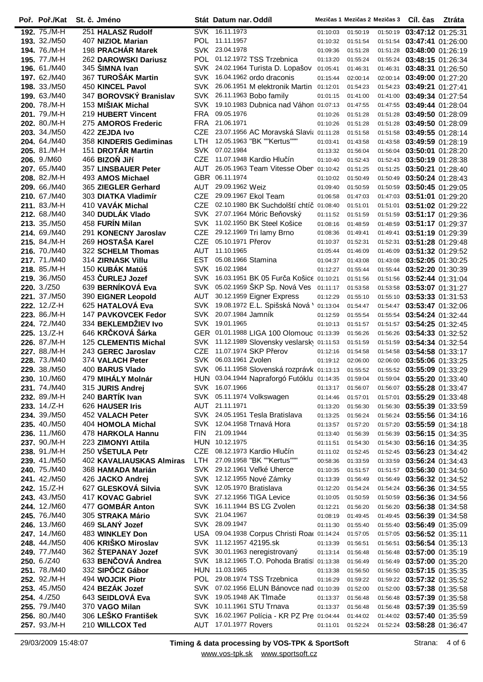| Poř. Poř./Kat       | St. č. Jméno                |            | Stát Datum nar. Oddíl                      |          | Mezičas 1 Mezičas 2 Mezičas 3 |          | Cíl. čas                       | Ztráta |
|---------------------|-----------------------------|------------|--------------------------------------------|----------|-------------------------------|----------|--------------------------------|--------|
| 192. 75./M-H        | 251 HALASZ Rudolf           |            | SVK 16.11.1973                             | 01:10:03 | 01:50:19                      | 01:50:19 | 03:47:12 01:25:31              |        |
| <b>193.</b> 32./M50 | 407 NIZIOŁ Marian           |            | POL 11.11.1957                             | 01:10:32 | 01:51:54                      | 01:51:54 | 03:47:41 01:26:00              |        |
| 194. 76./M-H        | 198 PRACHÁR Marek           | <b>SVK</b> | 23.04.1978                                 | 01:09:36 | 01:51:28                      | 01:51:28 | 03:48:00 01:26:19              |        |
| 195. 77./M-H        | 262 DAROWSKI Dariusz        | POL        | 01.12.1972 TSS Trzebnica                   | 01:13:20 | 01:55:24                      |          | 01:55:24 03:48:15 01:26:34     |        |
| 196. 61./M40        | 345 ŠIMNA Ivan              | SVK        | 24.02.1964 Turista D. Lopašov              | 01:05:41 | 01:46:31                      |          | 01:46:31 03:48:31 01:26:50     |        |
| 197. 62./M40        | 367 TUROŠÁK Martin          | SVK        | 16.04.1962 ordo draconis                   | 01:15:44 | 02:00:14                      | 02:00:14 | 03:49:00 01:27:20              |        |
| 198. 33./M50        | 450 KINCEL Pavol            | SVK        | 26.06.1951 M elektronik Martin             | 01:12:01 | 01:54:23                      | 01:54:23 | 03:49:21 01:27:41              |        |
| 199. 63./M40        | 347 BOROVSKÝ Branislav      | SVK        | 26.11.1963 Bobo family                     | 01:01:15 | 01:41:00                      |          | 01:41:00 03:49:34 01:27:54     |        |
| 200, 78./M-H        | 153 MIŠIAK Michal           | SVK.       | 19.10.1983 Dubnica nad Váhon 01:07:13      |          | 01:47:55                      |          | 01:47:55 03:49:44 01:28:04     |        |
| 201. 79./M-H        | 219 HUBERT Vincent          | <b>FRA</b> | 09.05.1976                                 | 01:10:26 | 01:51:28                      | 01:51:28 | 03:49:50 01:28:09              |        |
| 202. 80./M-H        | 275 AMOROS Frederic         | <b>FRA</b> | 21.06.1971                                 | 01:10:26 | 01:51:28                      | 01:51:28 | 03:49:50 01:28:09              |        |
| 203. 34./M50        | 422 ZEJDA Ivo               | <b>CZE</b> | 23.07.1956 AC Moravská Slavi $\,$ 01:11:28 |          | 01:51:58                      |          | 01:51:58 03:49:55 01:28:14     |        |
| 204, 64./M40        | 358 KINDERIS Gediminas      | <b>LTH</b> | 12.05.1963 "BK ""Kertus"""                 | 01:03:41 | 01:43:58                      |          | 01:43:58 03:49:59 01:28:19     |        |
| 205. 81./M-H        | 151 DROTÁR Martin           | <b>SVK</b> | 07.02.1984                                 | 01:13:32 | 01:56:04                      | 01:56:04 | 03:50:01 01:28:20              |        |
| 206. 9./M60         | 466 BIZOŇ Jiří              | <b>CZE</b> | 11.07.1948 Kardio Hlučín                   | 01:10:40 | 01:52:43                      | 01:52:43 | 03:50:19 01:28:38              |        |
| 207. 65./M40        | 357 LINSBAUER Peter         | AUT        | 26.05.1963 Team Vitesse Ober               | 01:10:42 | 01:51:25                      | 01:51:25 | 03:50:21 01:28:40              |        |
| 208. 82./M-H        | 493 AMOS Michael            | <b>GBR</b> | 06.11.1974                                 | 01:10:02 | 01:50:49                      | 01:50:49 | 03:50:24 01:28:43              |        |
| 209. 66./M40        | 365 ZIEGLER Gerhard         | <b>AUT</b> | 29.09.1962 Weiz                            | 01:09:40 | 01:50:59                      | 01:50:59 | 03:50:45 01:29:05              |        |
| 210. 67./M40        | 303 DIATKA Vladimír         | <b>CZE</b> | 29.09.1967 Ekol Team                       | 01:06:58 | 01:47:03                      | 01:47:03 | 03:51:01 01:29:20              |        |
| 211. 83./M-H        | 410 VAVÁK Michal            | <b>CZE</b> | 02.10.1980 BK Suchdolští chtíč 01:08:40    |          | 01:51:01                      |          | 01:51:01   03:51:02   01:29:22 |        |
| 212. 68./M40        | 340 DUDLÁK Vlado            | <b>SVK</b> | 27.07.1964 Móric Beňovský                  | 01:11:52 | 01:51:59                      |          | 01:51:59 03:51:17 01:29:36     |        |
| 213. 35./M50        | 458 FURÍN Milan             |            | SVK 11.02.1950 BK Steel Košice             | 01:08:16 | 01:48:59                      | 01:48:59 | 03:51:17 01:29:37              |        |
| 214. 69./M40        | 291 KONECNY Jaroslav        | <b>CZE</b> | 29.12.1969 Tri lamy Brno                   | 01:08:36 | 01:49:41                      | 01:49:41 | 03:51:19 01:29:39              |        |
| 215. 84./M-H        | 269 HOSTAŠA Karel           | <b>CZE</b> | 05.10.1971 Přerov                          | 01:10:37 | 01:52:31                      |          | 01:52:31 03:51:28 01:29:48     |        |
| 216, 70./M40        | 322 SCHELM Thomas           | <b>AUT</b> | 11.10.1965                                 | 01:05:44 | 01:46:09                      |          | 01:46:09 03:51:32 01:29:52     |        |
| 217. 71./M40        | 314 ZIRNASK Villu           | <b>EST</b> | 05.08.1966 Stamina                         | 01:04:37 | 01:43:08                      | 01:43:08 | 03:52:05 01:30:25              |        |
| 218. 85./M-H        | 150 KUBÁK Matúš             | <b>SVK</b> | 16.02.1984                                 | 01:12:27 | 01:55:44                      |          | 01:55:44 03:52:20 01:30:39     |        |
| 219. 36./M50        | 453 ČURLEJ Jozef            | <b>SVK</b> | 16.03.1951 BK 05 Furča Košice 01:10:21     |          | 01:51:56                      |          | 01:51:56 03:52:44 01:31:04     |        |
| 220. 3./Z50         | 639 BERNÍKOVÁ Eva           | <b>SVK</b> | 05.02.1959 ŠKP Sp. Nová Ves                | 01:11:17 | 01:53:58                      |          | 01:53:58 03:53:07 01:31:27     |        |
| 221. 37./M50        | 390 EIGNER Leopold          | AUT        | 30.12.1959 Eigner Express                  | 01:12:29 | 01:55:10                      | 01:55:10 | 03:53:33 01:31:53              |        |
| 222. 12./Z-H        | 625 HATALOVÁ Eva            | SVK.       | 19.08.1972 E.L. Spišská Nová '             | 01:13:04 | 01:54:47                      | 01:54:47 | 03:53:47 01:32:06              |        |
| 223. 86./M-H        | <b>147 PAVKOVCEK Fedor</b>  | SVK.       | 20.07.1984 Jamník                          | 01:12:59 | 01:55:54                      | 01:55:54 | 03:54:24 01:32:44              |        |
| 224, 72./M40        | 334 BEKLEMDZIEV Ivo         | <b>SVK</b> | 19.01.1965                                 | 01:10:13 | 01:51:57                      |          | 01:51:57 03:54:25 01:32:45     |        |
| 225. 13./Z-H        | 646 KRČKOVÁ Šárka           |            | GER 01.01.1988 LIGA 100 Olomouc 01:13:39   |          | 01:56:26                      | 01:56:26 | 03:54:33 01:32:52              |        |
| 226. 87./M-H        | <b>125 CLEMENTIS Michal</b> | SVK.       | 11.12.1989 Slovensky veslarsky 01:11:53    |          | 01:51:59                      | 01:51:59 | 03:54:34 01:32:54              |        |
| 227. 88./M-H        | 243 GEREC Jaroslav          | <b>CZE</b> | 11.07.1974 SKP Přerov                      | 01:12:16 | 01:54:58                      | 01:54:58 | 03:54:58 01:33:17              |        |
| 228. 73./M40        | 374 VALACH Peter            | <b>SVK</b> | 06.03.1961 Zvolen                          | 01:19:12 | 02:06:00                      | 02:06:00 | 03:55:06 01:33:25              |        |
| 229. 38./M50        | 400 BARUS Vlado             | SVK        | 06.11.1958 Slovenská rozprávk 01:13:13     |          | 01:55:52                      |          | 01:55:52 03:55:09 01:33:29     |        |
| 230. 10./M60        | 479 MIHÁLY Molnár           |            | HUN 03.04.1944 Napraforgó Futóklu 01:14:35 |          | 01:59:04                      |          | 01:59:04 03:55:20 01:33:40     |        |
| 231.74./M40         | 315 JURIS Andrej            |            | SVK 16.07.1966                             | 01:13:17 | 01:56:07                      |          | 01:56:07 03:55:28 01:33:47     |        |
| 232. 89./M-H        | 240 BARTIK Ivan             | SVK        | 05.11.1974 Volkswagen                      | 01:14:46 | 01:57:01                      |          | 01:57:01 03:55:29 01:33:48     |        |
| 233. 14./Z-H        | 626 HAUSER Iris             |            | AUT 21.11.1971                             | 01:13:20 | 01:56:30                      |          | 01:56:30 03:55:39 01:33:59     |        |
| 234. 39./M50        | 452 VALACH Peter            |            | SVK 24.05.1951 Tesla Bratislava            | 01:13:25 | 01:56:24                      |          | 01:56:24 03:55:56 01:34:16     |        |
| 235. 40./M50        | 404 HOMOLA Michal           |            | SVK 12.04.1958 Trnavá Hora                 | 01:13:57 | 01:57:20                      |          | 01:57:20 03:55:59 01:34:18     |        |
| 236. 11./M60        | 478 HARKOLA Hannu           | <b>FIN</b> | 21.09.1944                                 | 01:13:40 | 01:56:39                      |          | 01:56:39 03:56:15 01:34:35     |        |
| 237. 90./M-H        | 223 ZIMONYI Attila          |            | HUN 10.12.1975                             | 01:11:51 | 01:54:30                      |          | 01:54:30 03:56:16 01:34:35     |        |
| 238. 91./M-H        | 250 VŠETULA Petr            |            | CZE 08.12.1973 Kardio Hlučín               | 01:11:02 | 01:52:45                      |          | 01:52:45 03:56:23 01:34:42     |        |
| 239. 41./M50        | 402 KAVALIAUSKAS Almiras    | LTH.       | 27.09.1958 "BK ""Kertus"""                 | 00:58:36 | 01:33:59                      |          | 01:33:59 03:56:24 01:34:43     |        |
| 240, 75./M40        | 368 HAMADA Marián           |            | SVK 29.12.1961 Veľké Uherce                | 01:10:35 | 01:51:57                      |          | 01:51:57 03:56:30 01:34:50     |        |
| 241. 42./M50        | 426 JACKO Andrej            |            | SVK 12.12.1955 Nové Zámky                  | 01:13:39 | 01:56:49                      |          | 01:56:49 03:56:32 01:34:52     |        |
| 242. 15./Z-H        | 627 GLESKOVÁ Silvia         |            | SVK 12.05.1970 Bratislava                  | 01:12:20 | 01:54:24                      |          | 01:54:24 03:56:36 01:34:55     |        |
| 243. 43./M50        | 417 KOVAC Gabriel           |            | SVK 27.12.1956 TIGA Levice                 | 01:10:05 | 01:50:59                      |          | 01:50:59 03:56:36 01:34:56     |        |
| 244. 12./M60        | 477 GOMBÁR Anton            |            | SVK 16.11.1944 BS L'G Zvolen               | 01:12:21 | 01:56:20                      |          | 01:56:20 03:56:38 01:34:58     |        |
| 245. 76./M40        | 305 STRAKA Mário            |            | SVK 21.04.1967                             | 01:08:19 | 01:49:45                      |          | 01:49:45 03:56:39 01:34:58     |        |
| <b>246.</b> 13./M60 | 469 SLANÝ Jozef             |            | SVK 28.09.1947                             | 01:11:30 | 01:55:40                      |          | 01:55:40 03:56:49 01:35:09     |        |
| 247. 14./M60        | 483 WINKLEY Don             |            | USA 09.04.1938 Corpus Christi Road         | 01:14:24 | 01:57:05                      |          | 01:57:05 03:56:52 01:35:11     |        |
| 248, 44./M50        | 406 KRIŠKO Miroslav         |            | SVK 11.12.1957 42195.sk                    | 01:13:39 | 01:56:51                      |          | 01:56:51 03:56:54 01:35:13     |        |
| 249, 77./M40        | 362 STEPANAY Jozef          |            | SVK 30.01.1963 neregistrovaný              | 01:13:14 | 01:56:48                      |          | 01:56:48 03:57:00 01:35:19     |        |
| <b>250.</b> 6./Z40  | 633 BENČOVÁ Andrea          |            | SVK 18.12.1965 T.O. Pohoda Bratis 01:13:38 |          | 01:56:49                      |          | 01:56:49 03:57:00 01:35:20     |        |
| 251. 78./M40        | 332 SIPŐCZ Gábor            |            | HUN 11.03.1965                             | 01:13:38 | 01:56:50                      |          | 01:56:50 03:57:15 01:35:35     |        |
| 252. 92./M-H        | 494 WOJCIK Piotr            |            | POL 29.08.1974 TSS Trzebnica               | 01:16:29 | 01:59:22                      |          | 01:59:22 03:57:32 01:35:52     |        |
| <b>253.</b> 45./M50 | 424 BEZÁK Jozef             |            | SVK 07.02.1956 ELUN Bánovce nad            | 01:10:39 | 01:52:00                      |          | 01:52:00 03:57:38 01:35:58     |        |
| <b>254.</b> 4./Z50  | 643 SEIDLOVA Eva            |            | SVK 19.05.1948 AK TImače                   | 01:13:37 | 01:56:48                      |          | 01:56:48 03:57:39 01:35:58     |        |
| 255, 79./M40        | 370 VAGO Milan              |            | SVK 10.11.1961 STU Trnava                  | 01:13:37 | 01:56:48                      |          | 01:56:48 03:57:39 01:35:59     |        |
| 256. 80./M40        | 306 LEŠKO František         | SVK        | 16.02.1967 Polícia - KR PZ Pre 01:04:44    |          | 01:44:02                      |          | 01:44:02 03:57:40 01:35:59     |        |
| 257. 93./M-H        | 210 WILLCOX Ted             |            | AUT 17.01.1977 Rovers                      | 01:11:01 | 01:52:24                      |          | 01:52:24 03:58:28 01:36:47     |        |

Ĭ.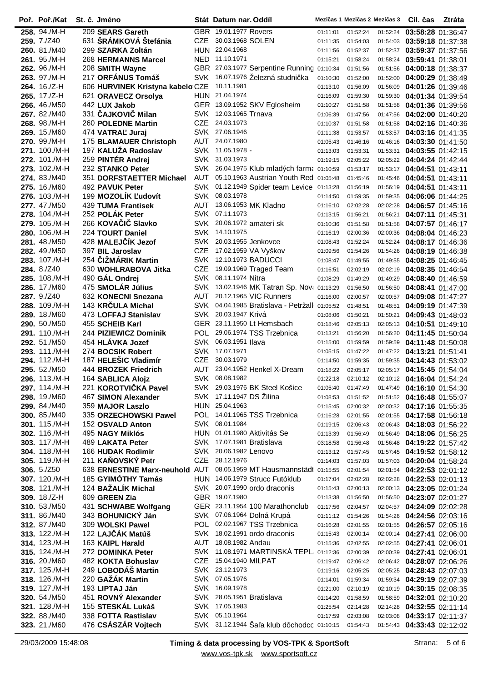| Poř. Poř./Kat                  | St. č. Jméno                                                        |            | Stát Datum nar. Oddíl                   |                                               |                      | Mezičas 1 Mezičas 2 Mezičas 3 |                      | Cíl. čas                                                 | Ztráta |
|--------------------------------|---------------------------------------------------------------------|------------|-----------------------------------------|-----------------------------------------------|----------------------|-------------------------------|----------------------|----------------------------------------------------------|--------|
| 258. 94./M-H                   | 209 SEARS Gareth                                                    |            | GBR 19.01.1977 Rovers                   |                                               | 01:11:01             | 01:52:24                      | 01:52:24             | 03:58:28 01:36:47                                        |        |
| 259. 7./Z40                    | 631 ŠRÁMKOVÁ Štefánia                                               |            | CZE 30.03.1968 SOLEN                    |                                               | 01:11:35             | 01:54:03                      |                      | 01:54:03 03:59:18 01:37:38                               |        |
| 260. 81./M40                   | 299 SZARKA Zoltán                                                   |            | HUN 22.04.1968                          |                                               | 01:11:56             | 01:52:37                      |                      | 01:52:37 03:59:37 01:37:56                               |        |
| 261. 95./M-H                   | 268 HERMANNS Marcel                                                 |            | NED 11.10.1971                          |                                               | 01:15:21             | 01:58:24                      | 01:58:24             | 03:59:41 01:38:01                                        |        |
| 262. 96./M-H                   | 208 SMITH Wayne                                                     |            |                                         | GBR 27.03.1977 Serpentine Running 01:10:34    |                      | 01:51:56                      | 01:51:56             | 04:00:18 01:38:37                                        |        |
| 263. 97./M-H                   | 217 ORFÁNUS Tomáš                                                   |            |                                         | SVK 16.07.1976 Železná studnička              | 01:10:30             | 01:52:00                      | 01:52:00             | 04:00:29 01:38:49                                        |        |
| 264. 16./Z-H                   | 606 HURVINEK Kristyna kabelo CZE                                    |            | 10.11.1981                              |                                               | 01:13:10             | 01:56:09                      | 01:56:09             | 04:01:26 01:39:46                                        |        |
| 265. 17./Z-H                   | 621 ORAVECZ Orsolya                                                 |            | HUN 21.04.1974                          |                                               | 01:16:09             | 01:59:30                      | 01:59:30             | 04:01:34 01:39:54                                        |        |
| 266. 46./M50                   | 442 LUX Jakob<br>331 ČAJKOVIČ Milan                                 |            | SVK 12.03.1965 Trnava                   | GER 13.09.1952 SKV Eglosheim                  | 01:10:27             | 01:51:58                      | 01:51:58             | 04:01:36 01:39:56                                        |        |
| 267. 82./M40<br>268. 98./M-H   | 260 POLEDNE Martin                                                  | CZE        | 24.03.1973                              |                                               | 01:06:39<br>01:10:37 | 01:47:56<br>01:51:58          | 01:47:56<br>01:51:58 | 04:02:00 01:40:20                                        |        |
| 269. 15./M60                   | 474 VATRAL' Juraj                                                   |            | SVK 27.06.1946                          |                                               | 01:11:38             | 01:53:57                      | 01:53:57             | 04:02:16 01:40:36<br>04:03:16 01:41:35                   |        |
| 270. 99./M-H                   | 175 BLAMAUER Christoph                                              | AUT        | 24.07.1980                              |                                               | 01:05:43             | 01:46:16                      | 01:46:16             | 04:03:30 01:41:50                                        |        |
| 271. 100./M-H                  | 197 KALUŽA Radoslav                                                 |            | SVK 11.05.1978 -                        |                                               | 01:13:03             | 01:53:31                      | 01:53:31             | 04:03:55 01:42:15                                        |        |
| 272. 101./M-H                  | 259 PINTÉR Andrej                                                   |            | SVK 31.03.1973                          |                                               | 01:19:15             | 02:05:22                      |                      | 02:05:22  04:04:24  01:42:44                             |        |
| 273. 102./M-H                  | 232 STANKO Peter                                                    | SVK        |                                         | 26.04.1975 Klub mladých farma 01:10:59        |                      | 01:53:17                      |                      | 01:53:17 04:04:51 01:43:11                               |        |
| 274. 83./M40                   | 351 DORFSTAETTER Michael                                            | AUT        |                                         | 05.10.1963 Austrian Youth Red 01:05:48        |                      | 01:45:46                      | 01:45:46             | 04:04:51 01:43:11                                        |        |
| 275. 16./M60                   | 492 PAVUK Peter                                                     |            |                                         | SVK 01.12.1949 Spider team Levice 01:13:28    |                      | 01:56:19                      | 01:56:19             | 04:04:51 01:43:11                                        |        |
| 276. 103./M-H                  | 199 MOZOLÍK Ľudovít                                                 |            | SVK 08.03.1978                          |                                               | 01:14:50             | 01:59:35                      | 01:59:35             | 04:06:06 01:44:25                                        |        |
| 277.47./M50                    | 439 TUMA Frantisek                                                  | AUT        |                                         | 13.06.1953 MK Kladno                          | 01:16:10             | 02:02:28                      | 02:02:28             | 04:06:57 01:45:16                                        |        |
| 278, 104./M-H                  | 252 POLÁK Peter                                                     |            | SVK 07.11.1973                          |                                               | 01:13:15             | 01:56:21                      | 01:56:21             | 04:07:11 01:45:31                                        |        |
| 279. 105./M-H                  | 266 KOVAČIČ Slavko                                                  |            |                                         | SVK 20.06.1972 amateri sk                     | 01:10:36             | 01:51:58                      | 01:51:58             | 04:07:57 01:46:17                                        |        |
| 280. 106./M-H                  | 224 TOURT Daniel                                                    |            | SVK 14.10.1975                          |                                               | 01:16:19             | 02:00:36                      | 02:00:36             | 04:08:04 01:46:23                                        |        |
| 281.48./M50                    | 428 MALEJČÍK Jezof                                                  | SVK        |                                         | 20.03.1955 Jenkovce                           | 01:08:43             | 01:52:24                      | 01:52:24             | 04:08:17 01:46:36                                        |        |
| 282, 49./M50                   | 397 BIL Jaroslav                                                    |            |                                         | CZE 17.02.1959 VA Vyškov                      | 01:09:56             | 01:54:26                      | 01:54:26             | 04:08:19 01:46:38                                        |        |
| 283, 107./M-H                  | 254 ČIŽMÁRIK Martin                                                 |            |                                         | SVK 12.10.1973 BADUCCI                        | 01:08:47             | 01:49:55                      |                      | 01:49:55 04:08:25 01:46:45                               |        |
| 284. 8./Z40<br>285, 108./M-H   | 630 WOHLRABOVA Jitka                                                | <b>CZE</b> | SVK 08.11.1974 Nitra                    | 19.09.1969 Traged Team                        | 01:16:51             | 02:02:19                      | 02:02:19             | 04:08:35 01:46:54                                        |        |
| 286, 17./M60                   | 490 GÁL Ondrej<br>475 SMOLÁR Július                                 |            |                                         | SVK 13.02.1946 MK Tatran Sp. Novi 01:13:29    | 01:08:29             | 01:49:29<br>01:56:50          | 01:49:29<br>01:56:50 | 04:08:40 01:46:59<br>04:08:41 01:47:00                   |        |
| 287. 9./Z40                    | 632 KONECNI Snezana                                                 | AUT        |                                         | 20.12.1965 VIC Runners                        | 01:16:00             | 02:00:57                      |                      | 02:00:57 04:09:08 01:47:27                               |        |
| 288, 109./M-H                  | 143 KRČULA Michal                                                   |            |                                         | SVK 04.04.1985 Bratislava - Petržall 01:05:52 |                      | 01:48:51                      | 01:48:51             | 04:09:19 01:47:39                                        |        |
| 289. 18./M60                   | 473 LOFFAJ Stanislav                                                |            | SVK 20.03.1947 Krivá                    |                                               | 01:08:06             | 01:50:21                      | 01:50:21             | 04:09:43 01:48:03                                        |        |
| 290. 50./M50                   | 455 SCHEIB Karl                                                     |            |                                         | GER 23.11.1950 Lt Hemsbach                    | 01:18:46             | 02:05:13                      |                      | 02:05:13 04:10:51 01:49:10                               |        |
| 291. 110./M-H                  | 244 PIZIEWICZ Dominik                                               |            |                                         | POL 29.06.1974 TSS Trzebnica                  | 01:13:21             | 01:56:20                      | 01:56:20             | 04:11:45 01:50:04                                        |        |
| 292. 51./M50                   | 454 HLÁVKA Jozef                                                    |            | SVK 06.03.1951 Ilava                    |                                               | 01:15:00             | 01:59:59                      | 01:59:59             | 04:11:48 01:50:08                                        |        |
| 293. 111./M-H                  | 274 BOCSIK Robert                                                   |            | SVK 17.07.1971                          |                                               | 01:05:15             | 01:47:22                      |                      | 01:47:22 04:13:21 01:51:41                               |        |
| 294. 112./M-H                  | 187 HELEŠIC Vladimír                                                | <b>CZE</b> | 30.03.1979                              |                                               | 01:14:50             | 01:59:35                      | 01:59:35             | 04:14:43 01:53:02                                        |        |
| 295, 52./M50                   | 444 BROZEK Friedrich                                                |            |                                         | AUT 23.04.1952 Henkel X-Dream                 | 01:18:22             | 02:05:17                      |                      | 02:05:17 04:15:45 01:54:04                               |        |
| 296. 113./M-H                  | 164 SABLICA Alojz                                                   |            | SVK 08.08.1982                          |                                               | 01:22:18             | 02:10:12                      |                      | 02:10:12 04:16:04 01:54:24                               |        |
| 297. 114./M-H                  | 221 KOROTVIČKA Pavel                                                |            |                                         | SVK 29.03.1976 BK Steel Košice                | 01:05:40             | 01:47:49                      |                      | 01:47:49 04:16:10 01:54:30                               |        |
| 298. 19./M60                   | 467 SIMON Alexander                                                 |            | SVK 17.11.1947 DS Žilina                |                                               | 01:08:53             | 01:51:52                      |                      | 01:51:52 04:16:48 01:55:07                               |        |
| 299. 84./M40                   | 359 MAJOR Laszlo                                                    |            | HUN 25.04.1963                          |                                               | 01:15:45             | 02:00:32                      |                      | 02:00:32 04:17:16 01:55:35                               |        |
| 300. 85./M40                   | 335 ORZECHOWSKI Pawel                                               |            | SVK 08.01.1984                          | POL 14.01.1965 TSS Trzebnica                  | 01:16:28             | 02:01:55                      |                      | 02:01:55 04:17:58 01:56:18                               |        |
| 301. 115./M-H<br>302. 116./M-H | 152 OSVALD Anton<br>495 NAGY Miklós                                 |            |                                         | HUN 01.01.1980 Aktivitás Se                   | 01:19:15<br>01:13:39 | 02:06:43<br>01:56:49          |                      | 02:06:43 04:18:03 01:56:22<br>01:56:49 04:18:06 01:56:25 |        |
| 303. 117./M-H                  | 489 LAKATA Peter                                                    |            | SVK 17.07.1981 Bratislava               |                                               | 03:18:58             | 01:56:48                      |                      | 01:56:48 04:19:22 01:57:42                               |        |
| <b>304.</b> 118./M-H           | 166 HUDAK Rodimir                                                   |            | SVK 20.06.1982 Lenovo                   |                                               | 01:13:12             | 01:57:45                      |                      | 01:57:45 04:19:52 01:58:12                               |        |
| 305. 119./M-H                  | 211 KAŇOVSKÝ Petr                                                   |            | CZE 28.12.1976                          |                                               | 01:14:03             | 01:57:03                      |                      | 01:57:03 04:20:04 01:58:24                               |        |
| <b>306.</b> 5./Z50             | 638 ERNESTINE Marx-neuhold AUT 08.05.1959 MT Hausmannstädt 01:15:55 |            |                                         |                                               |                      | 02:01:54                      |                      | 02:01:54 04:22:53 02:01:12                               |        |
| 307. 120./M-H                  | 185 GYIMÓTHY Tamás                                                  |            |                                         | HUN 14.06.1979 Strucc Futóklub                | 01:17:04             | 02:02:28                      |                      | 02:02:28 04:22:53 02:01:13                               |        |
| 308. 121./M-H                  | 124 BAŽALÍK Michal                                                  |            |                                         | SVK 20.07.1990 ordo draconis                  | 01:15:43             | 02:00:13                      |                      | 02:00:13 04:23:05 02:01:24                               |        |
| 309. 18./Z-H                   | 609 GREEN Zia                                                       |            | GBR 19.07.1980                          |                                               | 01:13:38             | 01:56:50                      |                      | 01:56:50 04:23:07 02:01:27                               |        |
| 310. 53./M50                   | 431 SCHWABE Wolfgang                                                |            |                                         | GER 23.11.1954 100 Marathonclub               | 01:17:56             | 02:04:57                      |                      | 02:04:57 04:24:09 02:02:28                               |        |
| 311. 86./M40                   | 343 BOHUNICKÝ Ján                                                   |            |                                         | SVK 07.06.1964 Dolná Krupá                    | 01:11:12             | 01:54:26                      |                      | 01:54:26 04:24:56 02:03:16                               |        |
| 312. 87./M40                   | 309 WOLSKI Pawel                                                    |            |                                         | POL 02.02.1967 TSS Trzebnica                  | 01:16:28             | 02:01:55                      |                      | 02:01:55 04:26:57 02:05:16                               |        |
| 313. 122./M-H                  | 122 LAJČÁK Matúš                                                    |            |                                         | SVK 18.02.1991 ordo draconis                  | 01:15:43             | 02:00:14                      |                      | 02:00:14 04:27:41 02:06:00                               |        |
| 314. 123./M-H                  | 163 KAIPL Harald                                                    |            | AUT 18.08.1982 Andau                    |                                               | 01:15:36             | 02:02:55                      |                      | 02:02:55 04:27:41 02:06:01                               |        |
| 315. 124./M-H                  | 272 DOMINKA Peter                                                   |            |                                         | SVK 11.08.1971 MARTINSKÁ TEPL. 01:12:36       |                      | 02:00:39                      |                      | 02:00:39 04:27:41 02:06:01                               |        |
| 316. 20./M60                   | 482 KOKTA Bohuslav<br>249 LOBODÁŠ Martin                            |            | CZE 15.04.1940 MILPAT<br>SVK 23.12.1973 |                                               | 01:19:47             | 02:06:42                      |                      | 02:06:42 04:28:07 02:06:26<br>02:05:25 04:28:43 02:07:03 |        |
| 317. 125./M-H<br>318. 126./M-H | 220 GAŽÁK Martin                                                    |            | SVK 07.05.1976                          |                                               | 01:19:16<br>01:14:01 | 02:05:25<br>01:59:34          |                      | 01:59:34 04:29:19 02:07:39                               |        |
| 319. 127./M-H                  | 193 LIPTAJ Ján                                                      |            | SVK 16.09.1978                          |                                               | 01:21:00             | 02:10:19                      |                      | 02:10:19 04:30:15 02:08:35                               |        |
| 320. 54./M50                   | 451 ROVNÝ Alexander                                                 |            | SVK 28.05.1951 Bratislava               |                                               | 01:14:20             | 01:58:59                      |                      | 01:58:59 04:32:01 02:10:20                               |        |
| 321. 128./M-H                  | 155 STESKÁL Lukáš                                                   |            | SVK 17.05.1983                          |                                               | 01:25:54             | 02:14:28                      |                      | 02:14:28 04:32:55 02:11:14                               |        |
| 322. 88./M40                   | 338 FOTTA Rastislav                                                 |            | SVK 05.10.1964                          |                                               | 01:17:59             | 02:03:08                      |                      | 02:03:08 04:33:17 02:11:37                               |        |
| 323. 21./M60                   | 476 CSÁSZÁR Vojtech                                                 |            |                                         | SVK 31.12.1944 Šaľa klub dôchodcc 01:10:15    |                      | 01:54:43                      |                      | 01:54:43 04:33:43 02:12:02                               |        |
|                                |                                                                     |            |                                         |                                               |                      |                               |                      |                                                          |        |